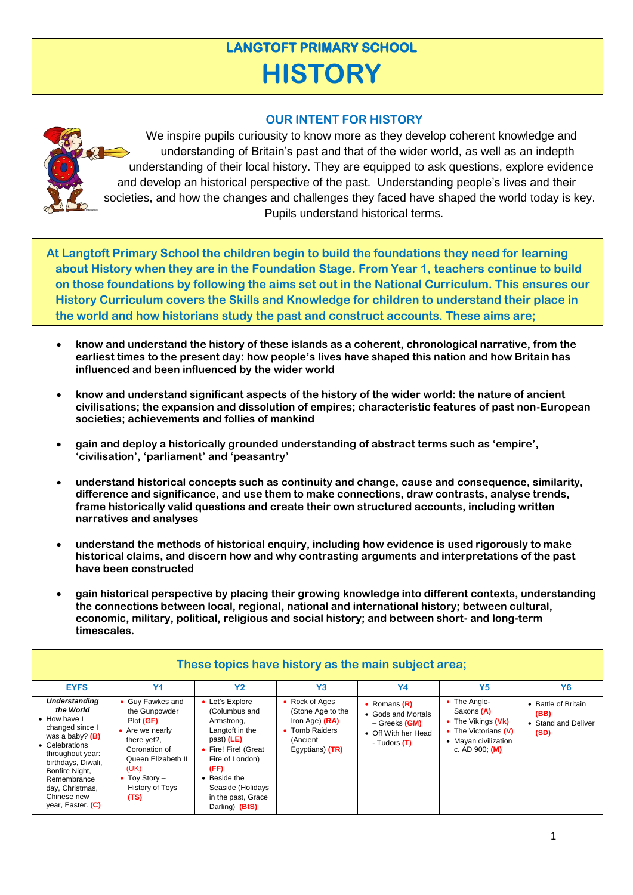## **LANGTOFT PRIMARY SCHOOL HISTORY**

## **OUR INTENT FOR HISTORY**



We inspire pupils curiousity to know more as they develop coherent knowledge and understanding of Britain's past and that of the wider world, as well as an indepth understanding of their local history. They are equipped to ask questions, explore evidence and develop an historical perspective of the past. Understanding people's lives and their societies, and how the changes and challenges they faced have shaped the world today is key. Pupils understand historical terms.

**At Langtoft Primary School the children begin to build the foundations they need for learning about History when they are in the Foundation Stage. From Year 1, teachers continue to build on those foundations by following the aims set out in the National Curriculum. This ensures our History Curriculum covers the Skills and Knowledge for children to understand their place in the world and how historians study the past and construct accounts. These aims are;**

- **know and understand the history of these islands as a coherent, chronological narrative, from the earliest times to the present day: how people's lives have shaped this nation and how Britain has influenced and been influenced by the wider world**
- **know and understand significant aspects of the history of the wider world: the nature of ancient civilisations; the expansion and dissolution of empires; characteristic features of past non-European societies; achievements and follies of mankind**
- **gain and deploy a historically grounded understanding of abstract terms such as 'empire', 'civilisation', 'parliament' and 'peasantry'**
- **understand historical concepts such as continuity and change, cause and consequence, similarity, difference and significance, and use them to make connections, draw contrasts, analyse trends, frame historically valid questions and create their own structured accounts, including written narratives and analyses**
- **understand the methods of historical enquiry, including how evidence is used rigorously to make historical claims, and discern how and why contrasting arguments and interpretations of the past have been constructed**
- **gain historical perspective by placing their growing knowledge into different contexts, understanding the connections between local, regional, national and international history; between cultural, economic, military, political, religious and social history; and between short- and long-term timescales.**

| These topics have history as the main subject area;                                                                                                                                                                                          |                                                                                                                                                                             |                                                                                                                                                                                                             |                                                                                                          |                                                                                              |                                                                                                                      |                                                            |
|----------------------------------------------------------------------------------------------------------------------------------------------------------------------------------------------------------------------------------------------|-----------------------------------------------------------------------------------------------------------------------------------------------------------------------------|-------------------------------------------------------------------------------------------------------------------------------------------------------------------------------------------------------------|----------------------------------------------------------------------------------------------------------|----------------------------------------------------------------------------------------------|----------------------------------------------------------------------------------------------------------------------|------------------------------------------------------------|
| <b>EYFS</b>                                                                                                                                                                                                                                  | Y <sub>1</sub>                                                                                                                                                              | <b>Y2</b>                                                                                                                                                                                                   | Y3                                                                                                       | <b>Y4</b>                                                                                    | Y <sub>5</sub>                                                                                                       | Y <sub>6</sub>                                             |
| <b>Understanding</b><br>the World<br>• How have I<br>changed since I<br>was a baby? $(B)$<br>• Celebrations<br>throughout year:<br>birthdays, Diwali,<br>Bonfire Night,<br>Remembrance<br>day, Christmas,<br>Chinese new<br>year, Easter (C) | Guy Fawkes and<br>the Gunpowder<br>Plot (GF)<br>• Are we nearly<br>there yet?,<br>Coronation of<br>Queen Elizabeth II<br>(UK)<br>• Toy Story $-$<br>History of Toys<br>(TS) | Let's Explore<br>(Columbus and<br>Armstrong,<br>Langtoft in the<br>past) (LE)<br>Fire! Fire! (Great<br>Fire of London)<br>(FF)<br>• Beside the<br>Seaside (Holidays<br>in the past, Grace<br>Darling) (BtS) | • Rock of Ages<br>(Stone Age to the<br>Iron Age) $(RA)$<br>• Tomb Raiders<br>(Ancient<br>Eqyptians) (TR) | • Romans $(R)$<br>• Gods and Mortals<br>– Greeks (GM)<br>• Off With her Head<br>- Tudors (T) | • The Anglo-<br>Saxons (A)<br>• The Vikings (Vk)<br>• The Victorians (V)<br>• Mayan civilization<br>c. AD 900; $(M)$ | • Battle of Britain<br>(BB)<br>• Stand and Deliver<br>(SD) |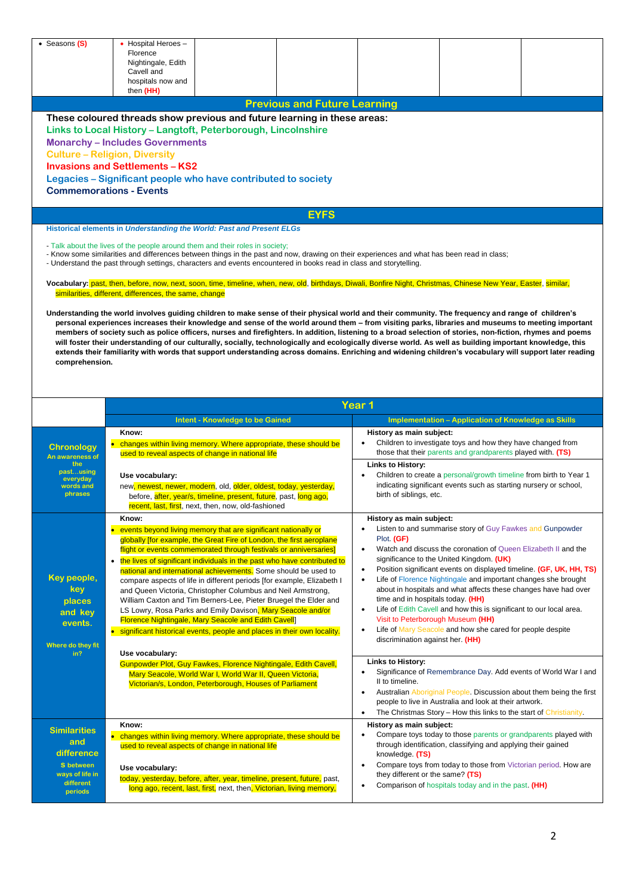| • Seasons (S)                       | • Hospital Heroes -<br>Florence<br>Nightingale, Edith                                                                                                                                                                      |                                                                                                                                                         |
|-------------------------------------|----------------------------------------------------------------------------------------------------------------------------------------------------------------------------------------------------------------------------|---------------------------------------------------------------------------------------------------------------------------------------------------------|
|                                     |                                                                                                                                                                                                                            |                                                                                                                                                         |
|                                     |                                                                                                                                                                                                                            |                                                                                                                                                         |
|                                     | Cavell and                                                                                                                                                                                                                 |                                                                                                                                                         |
|                                     | hospitals now and<br>then (HH)                                                                                                                                                                                             |                                                                                                                                                         |
|                                     | <b>Previous and Future Learning</b>                                                                                                                                                                                        |                                                                                                                                                         |
|                                     | These coloured threads show previous and future learning in these areas:                                                                                                                                                   |                                                                                                                                                         |
|                                     | Links to Local History - Langtoft, Peterborough, Lincolnshire                                                                                                                                                              |                                                                                                                                                         |
|                                     |                                                                                                                                                                                                                            |                                                                                                                                                         |
|                                     | <b>Monarchy-Includes Governments</b>                                                                                                                                                                                       |                                                                                                                                                         |
|                                     | <b>Culture - Religion, Diversity</b>                                                                                                                                                                                       |                                                                                                                                                         |
|                                     | <b>Invasions and Settlements - KS2</b>                                                                                                                                                                                     |                                                                                                                                                         |
|                                     | Legacies – Significant people who have contributed to society                                                                                                                                                              |                                                                                                                                                         |
|                                     | <b>Commemorations - Events</b>                                                                                                                                                                                             |                                                                                                                                                         |
|                                     |                                                                                                                                                                                                                            |                                                                                                                                                         |
|                                     | <b>EYFS</b>                                                                                                                                                                                                                |                                                                                                                                                         |
|                                     | Historical elements in Understanding the World: Past and Present ELGs                                                                                                                                                      |                                                                                                                                                         |
|                                     | - Talk about the lives of the people around them and their roles in society;                                                                                                                                               |                                                                                                                                                         |
|                                     | - Know some similarities and differences between things in the past and now, drawing on their experiences and what has been read in class;                                                                                 |                                                                                                                                                         |
|                                     | - Understand the past through settings, characters and events encountered in books read in class and storytelling.                                                                                                         |                                                                                                                                                         |
|                                     |                                                                                                                                                                                                                            |                                                                                                                                                         |
|                                     | Vocabulary: past, then, before, now, next, soon, time, timeline, when, new, old, birthdays, Diwali, Bonfire Night, Christmas, Chinese New Year, Easter, similar,<br>similarities, different, differences, the same, change |                                                                                                                                                         |
|                                     |                                                                                                                                                                                                                            |                                                                                                                                                         |
|                                     | Understanding the world involves guiding children to make sense of their physical world and their community. The frequency and range of children's                                                                         |                                                                                                                                                         |
|                                     | personal experiences increases their knowledge and sense of the world around them – from visiting parks, libraries and museums to meeting important                                                                        |                                                                                                                                                         |
|                                     | members of society such as police officers, nurses and firefighters. In addition, listening to a broad selection of stories, non-fiction, rhymes and poems                                                                 |                                                                                                                                                         |
|                                     | will foster their understanding of our culturally, socially, technologically and ecologically diverse world. As well as building important knowledge, this                                                                 |                                                                                                                                                         |
|                                     |                                                                                                                                                                                                                            | extends their familiarity with words that support understanding across domains. Enriching and widening children's vocabulary will support later reading |
| comprehension.                      |                                                                                                                                                                                                                            |                                                                                                                                                         |
|                                     |                                                                                                                                                                                                                            |                                                                                                                                                         |
|                                     |                                                                                                                                                                                                                            |                                                                                                                                                         |
|                                     |                                                                                                                                                                                                                            |                                                                                                                                                         |
|                                     |                                                                                                                                                                                                                            |                                                                                                                                                         |
|                                     |                                                                                                                                                                                                                            | Year <sub>1</sub>                                                                                                                                       |
|                                     | <b>Intent - Knowledge to be Gained</b>                                                                                                                                                                                     | <b>Implementation - Application of Knowledge as Skills</b>                                                                                              |
|                                     | Know:                                                                                                                                                                                                                      | History as main subject:                                                                                                                                |
| <b>Chronology</b>                   | • changes within living memory. Where appropriate, these should be                                                                                                                                                         | Children to investigate toys and how they have changed from                                                                                             |
| An awareness of                     | used to reveal aspects of change in national life                                                                                                                                                                          | those that their parents and grandparents played with. (TS)                                                                                             |
| the                                 |                                                                                                                                                                                                                            | Links to History:                                                                                                                                       |
| pastusing<br>everyday               | Use vocabulary:                                                                                                                                                                                                            | Children to create a personal/growth timeline from birth to Year 1                                                                                      |
| words and                           | new, newest, newer, modern, old, older, oldest, today, yesterday,                                                                                                                                                          | indicating significant events such as starting nursery or school,                                                                                       |
| phrases                             | before, after, year/s, timeline, present, future, past, long ago,                                                                                                                                                          | birth of siblings, etc.                                                                                                                                 |
|                                     | recent, last, first, next, then, now, old-fashioned                                                                                                                                                                        |                                                                                                                                                         |
|                                     | Know:                                                                                                                                                                                                                      | History as main subject:                                                                                                                                |
|                                     | • events beyond living memory that are significant nationally or                                                                                                                                                           | Listen to and summarise story of Guy Fawkes and Gunpowder                                                                                               |
|                                     | globally ffor example, the Great Fire of London, the first aeroplane                                                                                                                                                       | Plot. (GF)                                                                                                                                              |
|                                     | flight or events commemorated through festivals or anniversaries]                                                                                                                                                          | Watch and discuss the coronation of Queen Elizabeth II and the<br>$\bullet$                                                                             |
|                                     | • the lives of significant individuals in the past who have contributed to                                                                                                                                                 | significance to the United Kingdom. (UK)                                                                                                                |
|                                     | national and international achievements. Some should be used to                                                                                                                                                            | Position significant events on displayed timeline (GF, UK, HH, TS)<br>$\bullet$<br>$\bullet$                                                            |
| Key people,                         | compare aspects of life in different periods [for example, Elizabeth I                                                                                                                                                     | Life of Florence Nightingale and important changes she brought                                                                                          |
| key.                                | and Queen Victoria, Christopher Columbus and Neil Armstrong,                                                                                                                                                               | about in hospitals and what affects these changes have had over                                                                                         |
| places                              | William Caxton and Tim Berners-Lee, Pieter Bruegel the Elder and                                                                                                                                                           | time and in hospitals today. (HH)<br>Life of Edith Cavell and how this is significant to our local area.<br>$\bullet$                                   |
| and kev                             | LS Lowry, Rosa Parks and Emily Davison, Mary Seacole and/or<br><b>Florence Nightingale, Mary Seacole and Edith Cavell</b>                                                                                                  | Visit to Peterborough Museum (HH)                                                                                                                       |
| events.                             | • significant historical events, people and places in their own locality.                                                                                                                                                  | Life of Mary Seacole and how she cared for people despite<br>$\bullet$                                                                                  |
|                                     |                                                                                                                                                                                                                            | discrimination against her. (HH)                                                                                                                        |
| in?                                 | Use vocabulary:                                                                                                                                                                                                            |                                                                                                                                                         |
|                                     | Gunpowder Plot, Guy Fawkes, Florence Nightingale, Edith Cavell,                                                                                                                                                            | <b>Links to History:</b>                                                                                                                                |
|                                     | Mary Seacole, World War I, World War II, Queen Victoria,                                                                                                                                                                   | Significance of Remembrance Day. Add events of World War I and<br>٠                                                                                     |
| Where do they fit                   | Victorian/s, London, Peterborough, Houses of Parliament                                                                                                                                                                    | II to timeline.                                                                                                                                         |
|                                     |                                                                                                                                                                                                                            | Australian Aboriginal People. Discussion about them being the first<br>$\bullet$                                                                        |
|                                     |                                                                                                                                                                                                                            | people to live in Australia and look at their artwork.                                                                                                  |
|                                     |                                                                                                                                                                                                                            | The Christmas Story – How this links to the start of Christianity.<br>$\bullet$                                                                         |
| <b>Similarities</b>                 | Know:                                                                                                                                                                                                                      | History as main subject:                                                                                                                                |
| and                                 | • changes within living memory. Where appropriate, these should be                                                                                                                                                         | Compare toys today to those parents or grandparents played with<br>$\bullet$                                                                            |
| difference                          | used to reveal aspects of change in national life                                                                                                                                                                          | through identification, classifying and applying their gained                                                                                           |
|                                     |                                                                                                                                                                                                                            | knowledge. (TS)<br>$\bullet$                                                                                                                            |
| <b>S</b> between<br>ways of life in | Use vocabulary:                                                                                                                                                                                                            | Compare toys from today to those from Victorian period. How are<br>they different or the same? (TS)                                                     |
| different<br>periods                | today, yesterday, before, after, year, timeline, present, future, past,<br>long ago, recent, last, first, next, then, Victorian, living memory,                                                                            | Comparison of hospitals today and in the past. (HH)<br>$\bullet$                                                                                        |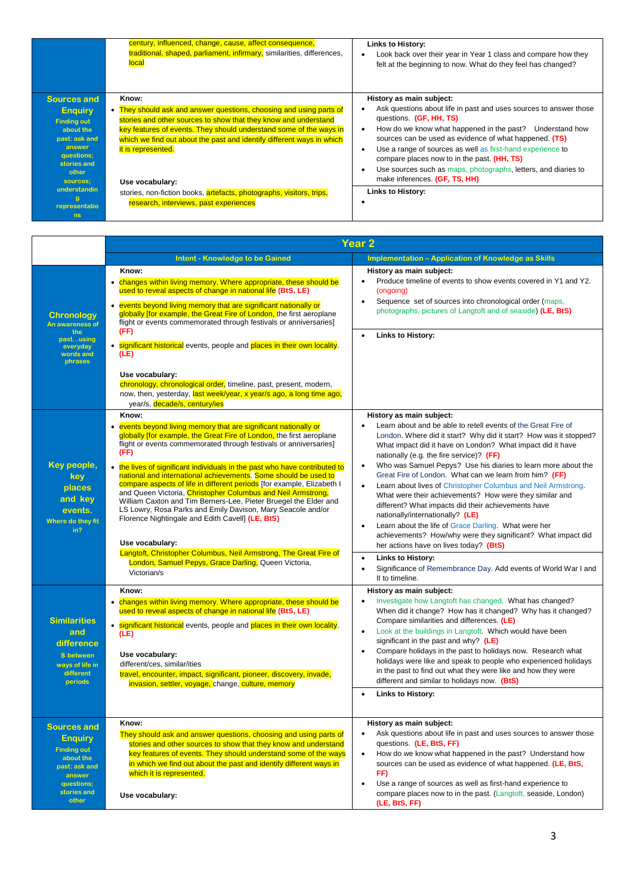|                                                                                                                                                      | century, influenced, change, cause, affect consequence,<br>traditional, shaped, parliament, infirmary, similarities, differences,<br>local                                                                                                                                                                                              | Links to History:<br>Look back over their year in Year 1 class and compare how they<br>felt at the beginning to now. What do they feel has changed?                                                                                                                                                                                                                                                                                                                                             |
|------------------------------------------------------------------------------------------------------------------------------------------------------|-----------------------------------------------------------------------------------------------------------------------------------------------------------------------------------------------------------------------------------------------------------------------------------------------------------------------------------------|-------------------------------------------------------------------------------------------------------------------------------------------------------------------------------------------------------------------------------------------------------------------------------------------------------------------------------------------------------------------------------------------------------------------------------------------------------------------------------------------------|
| <b>Sources and</b><br><b>Enquiry</b><br><b>Finding out</b><br>about the<br>past: ask and<br>answer<br>questions;<br>stories and<br>other<br>sources; | Know:<br>• They should ask and answer questions, choosing and using parts of<br>stories and other sources to show that they know and understand<br>key features of events. They should understand some of the ways in<br>which we find out about the past and identify different ways in which<br>it is represented.<br>Use vocabulary: | History as main subject:<br>Ask questions about life in past and uses sources to answer those<br>questions (GF, HH, TS)<br>How do we know what happened in the past?<br>Understand how<br>$\bullet$<br>sources can be used as evidence of what happened. (TS)<br>Use a range of sources as well as first-hand experience to<br>$\bullet$<br>compare places now to in the past. (HH, TS)<br>Use sources such as maps, photographs, letters, and diaries to<br>٠<br>make inferences. (GF, TS, HH) |
| understandin<br>representatio<br>ns                                                                                                                  | stories, non-fiction books, artefacts, photographs, visitors, trips,<br>research, interviews, past experiences                                                                                                                                                                                                                          | Links to History:                                                                                                                                                                                                                                                                                                                                                                                                                                                                               |

|                                                                                                                                          |                                                                                                                                                                                                                                                                                                                                                                                                                                                                                                   | Year 2                                                                                                                                                                                                                                                                                                                                                                                                                                                                                                                                                                                            |  |  |
|------------------------------------------------------------------------------------------------------------------------------------------|---------------------------------------------------------------------------------------------------------------------------------------------------------------------------------------------------------------------------------------------------------------------------------------------------------------------------------------------------------------------------------------------------------------------------------------------------------------------------------------------------|---------------------------------------------------------------------------------------------------------------------------------------------------------------------------------------------------------------------------------------------------------------------------------------------------------------------------------------------------------------------------------------------------------------------------------------------------------------------------------------------------------------------------------------------------------------------------------------------------|--|--|
|                                                                                                                                          | <b>Intent - Knowledge to be Gained</b>                                                                                                                                                                                                                                                                                                                                                                                                                                                            | <b>Implementation - Application of Knowledge as Skills</b>                                                                                                                                                                                                                                                                                                                                                                                                                                                                                                                                        |  |  |
| <b>Chronology</b><br>An awareness of<br>the<br>pastusing<br>everyday<br>words and<br>phrases                                             | Know:<br>• changes within living memory. Where appropriate, these should be<br>used to reveal aspects of change in national life (BtS, LE)<br>• events beyond living memory that are significant nationally or<br>globally ffor example, the Great Fire of London, the first aeroplane<br>flight or events commemorated through festivals or anniversaries]<br>(FF)<br>• significant historical events, people and places in their own locality.<br>(LE)<br>Use vocabulary:                       | History as main subject:<br>Produce timeline of events to show events covered in Y1 and Y2.<br>$\bullet$<br>(ongoing)<br>Sequence set of sources into chronological order (maps,<br>$\bullet$<br>photographs, pictures of Langtoft and of seaside) (LE, BtS)<br><b>Links to History:</b>                                                                                                                                                                                                                                                                                                          |  |  |
|                                                                                                                                          | chronology, chronological order, timeline, past, present, modern,<br>now, then, yesterday, last week/year, x year/s ago, a long time ago,<br>year/s, decade/s, century/ies<br>Know:                                                                                                                                                                                                                                                                                                               | History as main subject:                                                                                                                                                                                                                                                                                                                                                                                                                                                                                                                                                                          |  |  |
|                                                                                                                                          | • events beyond living memory that are significant nationally or<br>globally ffor example, the Great Fire of London, the first aeroplane<br>flight or events commemorated through festivals or anniversaries]<br>(FF)                                                                                                                                                                                                                                                                             | Learn about and be able to retell events of the Great Fire of<br>London. Where did it start? Why did it start? How was it stopped?<br>What impact did it have on London? What impact did it have<br>nationally (e.g. the fire service)? (FF)                                                                                                                                                                                                                                                                                                                                                      |  |  |
| Key people,<br>key<br>places<br>and key<br>events.<br>Where do they fit<br>in?                                                           | • the lives of significant individuals in the past who have contributed to<br>national and international achievements. Some should be used to<br>compare aspects of life in different periods [for example, Elizabeth I<br>and Queen Victoria, Christopher Columbus and Neil Armstrong,<br>William Caxton and Tim Berners-Lee, Pieter Bruegel the Elder and<br>LS Lowry, Rosa Parks and Emily Davison, Mary Seacole and/or<br>Florence Nightingale and Edith Cavell] (LE, BtS)<br>Use vocabulary: | Who was Samuel Pepys? Use his diaries to learn more about the<br>$\bullet$<br>Great Fire of London. What can we learn from him? (FF)<br>Learn about lives of Christopher Columbus and Neil Armstrong.<br>$\bullet$<br>What were their achievements? How were they similar and<br>different? What impacts did their achievements have<br>nationally/internationally? (LE)<br>Learn about the life of Grace Darling. What were her<br>achievements? How/why were they significant? What impact did<br>her actions have on lives today? (BtS)                                                        |  |  |
|                                                                                                                                          | Langtoft, Christopher Columbus, Neil Armstrong, The Great Fire of<br>London, Samuel Pepys, Grace Darling, Queen Victoria,<br>Victorian/s                                                                                                                                                                                                                                                                                                                                                          | Links to History:<br>$\bullet$<br>Significance of Remembrance Day. Add events of World War I and<br>$\bullet$<br>II to timeline.                                                                                                                                                                                                                                                                                                                                                                                                                                                                  |  |  |
| <b>Similarities</b><br>and<br>difference<br>S between<br>ways of life in<br>different<br>periods                                         | Know:<br>• changes within living memory. Where appropriate, these should be<br>used to reveal aspects of change in national life (BtS, LE)<br>• significant historical events, people and places in their own locality.<br>(LE)<br>Use vocabulary:<br>different/ces, similar/ities<br>travel, encounter, impact, significant, pioneer, discovery, invade,<br>invasion, settler, voyage, change, culture, memory                                                                                   | History as main subject:<br>Investigate how Langtoft has changed. What has changed?<br>$\bullet$<br>When did it change? How has it changed? Why has it changed?<br>Compare similarities and differences. (LE)<br>Look at the buildings in Langtoft. Which would have been<br>$\bullet$<br>significant in the past and why? $(LE)$<br>Compare holidays in the past to holidays now. Research what<br>$\bullet$<br>holidays were like and speak to people who experienced holidays<br>in the past to find out what they were like and how they were<br>different and similar to holidays now. (BtS) |  |  |
|                                                                                                                                          |                                                                                                                                                                                                                                                                                                                                                                                                                                                                                                   | Links to History:                                                                                                                                                                                                                                                                                                                                                                                                                                                                                                                                                                                 |  |  |
| <b>Sources and</b><br><b>Enquiry</b><br><b>Finding out</b><br>about the<br>past: ask and<br>answer<br>questions;<br>stories and<br>other | Know:<br>They should ask and answer questions, choosing and using parts of<br>stories and other sources to show that they know and understand<br>key features of events. They should understand some of the ways<br>in which we find out about the past and identify different ways in<br>which it is represented.<br>Use vocabulary:                                                                                                                                                             | History as main subject:<br>Ask questions about life in past and uses sources to answer those<br>$\bullet$<br>questions (LE, BtS, FF)<br>How do we know what happened in the past? Understand how<br>$\bullet$<br>sources can be used as evidence of what happened (LE, BtS,<br>FF)<br>Use a range of sources as well as first-hand experience to<br>$\bullet$<br>compare places now to in the past. (Langtoft, seaside, London)<br>(LE, BtS, FF)                                                                                                                                                 |  |  |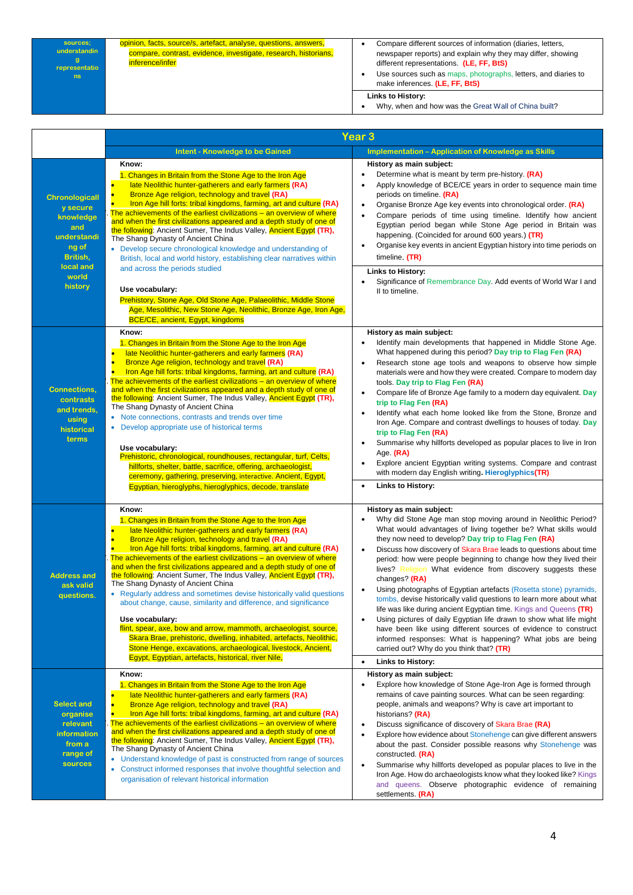| sources;      | opinion, facts, source/s, artefact, analyse, questions, answers, | Compare different sources of information (diaries, letters,    |
|---------------|------------------------------------------------------------------|----------------------------------------------------------------|
| understandin  | compare, contrast, evidence, investigate, research, historians,  | newspaper reports) and explain why they may differ, showing    |
| representatio | inference/infer                                                  | different representations. (LE, FF, BtS)                       |
| ns.           |                                                                  | Use sources such as maps, photographs, letters, and diaries to |
|               |                                                                  | make inferences. (LE, FF, BtS)                                 |
|               |                                                                  | Links to History:                                              |
|               |                                                                  | Why when and how was the Great Wall of China built?            |

| Why, when and how was the Great Wall of China built? |
|------------------------------------------------------|
|                                                      |

|                                                                                                                 | Year 3                                                                                                                                                                                                                                                                                                                                                                                                                                                                                                                                                                                                                                                                                                                                                                                                                                                                                                                                                          |                                                                                                                                                                                                                                                                                                                                                                                                                                                                                                                                                                                                                                                                                                                                                                                                                                                                                                                  |  |  |
|-----------------------------------------------------------------------------------------------------------------|-----------------------------------------------------------------------------------------------------------------------------------------------------------------------------------------------------------------------------------------------------------------------------------------------------------------------------------------------------------------------------------------------------------------------------------------------------------------------------------------------------------------------------------------------------------------------------------------------------------------------------------------------------------------------------------------------------------------------------------------------------------------------------------------------------------------------------------------------------------------------------------------------------------------------------------------------------------------|------------------------------------------------------------------------------------------------------------------------------------------------------------------------------------------------------------------------------------------------------------------------------------------------------------------------------------------------------------------------------------------------------------------------------------------------------------------------------------------------------------------------------------------------------------------------------------------------------------------------------------------------------------------------------------------------------------------------------------------------------------------------------------------------------------------------------------------------------------------------------------------------------------------|--|--|
|                                                                                                                 | <b>Intent - Knowledge to be Gained</b>                                                                                                                                                                                                                                                                                                                                                                                                                                                                                                                                                                                                                                                                                                                                                                                                                                                                                                                          | <b>Implementation - Application of Knowledge as Skills</b>                                                                                                                                                                                                                                                                                                                                                                                                                                                                                                                                                                                                                                                                                                                                                                                                                                                       |  |  |
| <b>Chronologicall</b><br>y secure<br>knowledge<br>and<br>understandi<br>ng of<br>British,<br>local and<br>world | Know:<br>1. Changes in Britain from the Stone Age to the Iron Age<br>late Neolithic hunter-gatherers and early farmers (RA)<br>Bronze Age religion, technology and travel (RA)<br>Iron Age hill forts: tribal kingdoms, farming, art and culture (RA)<br>The achievements of the earliest civilizations – an overview of where<br>and when the first civilizations appeared and a depth study of one of<br>the following: Ancient Sumer, The Indus Valley, Ancient Egypt (TR),<br>The Shang Dynasty of Ancient China<br>• Develop secure chronological knowledge and understanding of<br>British, local and world history, establishing clear narratives within<br>and across the periods studied                                                                                                                                                                                                                                                               | History as main subject:<br>Determine what is meant by term pre-history. (RA)<br>Apply knowledge of BCE/CE years in order to sequence main time<br>periods on timeline. (RA)<br>Organise Bronze Age key events into chronological order. (RA)<br>Compare periods of time using timeline. Identify how ancient<br>Egyptian period began while Stone Age period in Britain was<br>happening. (Coincided for around 600 years.) (TR)<br>Organise key events in ancient Egyptian history into time periods on<br>timeline, (TR)<br><b>Links to History:</b><br>Significance of Remembrance Day. Add events of World War I and                                                                                                                                                                                                                                                                                        |  |  |
| history                                                                                                         | Use vocabulary:<br>Prehistory, Stone Age, Old Stone Age, Palaeolithic, Middle Stone<br>Age, Mesolithic, New Stone Age, Neolithic, Bronze Age, Iron Age,<br><b>BCE/CE, ancient, Egypt, kingdoms</b>                                                                                                                                                                                                                                                                                                                                                                                                                                                                                                                                                                                                                                                                                                                                                              | II to timeline.                                                                                                                                                                                                                                                                                                                                                                                                                                                                                                                                                                                                                                                                                                                                                                                                                                                                                                  |  |  |
| <b>Connections,</b><br>contrasts<br>and trends,<br>using<br>historical<br>terms                                 | Know:<br>1. Changes in Britain from the Stone Age to the Iron Age<br>late Neolithic hunter-gatherers and early farmers (RA)<br><b>Bronze Age religion, technology and travel (RA)</b><br>Iron Age hill forts: tribal kingdoms, farming, art and culture (RA)<br>The achievements of the earliest civilizations – an overview of where<br>and when the first civilizations appeared and a depth study of one of<br>the following: Ancient Sumer, The Indus Valley, Ancient Egypt (TR),<br>The Shang Dynasty of Ancient China<br>• Note connections, contrasts and trends over time<br>• Develop appropriate use of historical terms<br>Use vocabulary:<br>Prehistoric, chronological, roundhouses, rectangular, turf, Celts,<br>hillforts, shelter, battle, sacrifice, offering, archaeologist,<br>ceremony, gathering, preserving, interactive. Ancient, Egypt,<br>Egyptian, hieroglyphs, hieroglyphics, decode, translate                                      | History as main subject:<br>Identify main developments that happened in Middle Stone Age.<br>What happened during this period? Day trip to Flag Fen (RA)<br>Research stone age tools and weapons to observe how simple<br>materials were and how they were created. Compare to modern day<br>tools. Day trip to Flag Fen (RA)<br>Compare life of Bronze Age family to a modern day equivalent. Day<br>$\bullet$<br>trip to Flag Fen (RA)<br>Identify what each home looked like from the Stone, Bronze and<br>Iron Age. Compare and contrast dwellings to houses of today. Day<br>trip to Flag Fen (RA)<br>Summarise why hillforts developed as popular places to live in Iron<br>Age. $(RA)$<br>Explore ancient Egyptian writing systems. Compare and contrast<br>with modern day English writing. Hieroglyphics(TR)<br><b>Links to History:</b>                                                                |  |  |
| <b>Address and</b><br>ask valid<br>questions.                                                                   | Know:<br>1. Changes in Britain from the Stone Age to the Iron Age<br>late Neolithic hunter-gatherers and early farmers (RA)<br><b>Bronze Age religion, technology and travel (RA)</b><br>Iron Age hill forts: tribal kingdoms, farming, art and culture (RA)<br>The achievements of the earliest civilizations – an overview of where<br>and when the first civilizations appeared and a depth study of one of<br>the following: Ancient Sumer, The Indus Valley, Ancient Egypt (TR),<br>The Shang Dynasty of Ancient China<br>• Regularly address and sometimes devise historically valid questions<br>about change, cause, similarity and difference, and significance<br>Use vocabulary:<br>flint, spear, axe, bow and arrow, mammoth, archaeologist, source,<br>Skara Brae, prehistoric, dwelling, inhabited, artefacts, Neolithic,<br>Stone Henge, excavations, archaeological, livestock, Ancient,<br>Egypt, Egyptian, artefacts, historical, river Nile, | History as main subject:<br>Why did Stone Age man stop moving around in Neolithic Period?<br>What would advantages of living together be? What skills would<br>they now need to develop? Day trip to Flag Fen (RA)<br>Discuss how discovery of Skara Brae leads to questions about time<br>period: how were people beginning to change how they lived their<br>lives? Religion What evidence from discovery suggests these<br>changes? (RA)<br>Using photographs of Egyptian artefacts (Rosetta stone) pyramids,<br>tombs, devise historically valid questions to learn more about what<br>life was like during ancient Egyptian time. Kings and Queens (TR)<br>Using pictures of daily Egyptian life drawn to show what life might<br>have been like using different sources of evidence to construct<br>informed responses: What is happening? What jobs are being<br>carried out? Why do you think that? (TR) |  |  |
|                                                                                                                 | Know:                                                                                                                                                                                                                                                                                                                                                                                                                                                                                                                                                                                                                                                                                                                                                                                                                                                                                                                                                           | <b>Links to History:</b><br>$\bullet$                                                                                                                                                                                                                                                                                                                                                                                                                                                                                                                                                                                                                                                                                                                                                                                                                                                                            |  |  |
| <b>Select and</b><br>organise<br>relevant<br>information<br>from a<br>range of<br>sources                       | 1. Changes in Britain from the Stone Age to the Iron Age<br>late Neolithic hunter-gatherers and early farmers (RA)<br><b>Bronze Age religion, technology and travel (RA)</b><br>Iron Age hill forts: tribal kingdoms, farming, art and culture (RA)<br>The achievements of the earliest civilizations - an overview of where<br>and when the first civilizations appeared and a depth study of one of<br>the following: Ancient Sumer, The Indus Valley, Ancient Egypt (TR),<br>The Shang Dynasty of Ancient China<br>• Understand knowledge of past is constructed from range of sources<br>Construct informed responses that involve thoughtful selection and<br>۰<br>organisation of relevant historical information                                                                                                                                                                                                                                         | History as main subject:<br>Explore how knowledge of Stone Age-Iron Age is formed through<br>remains of cave painting sources. What can be seen regarding:<br>people, animals and weapons? Why is cave art important to<br>historians? (RA)<br>Discuss significance of discovery of Skara Brae (RA)<br>$\bullet$<br>Explore how evidence about Stonehenge can give different answers<br>$\bullet$<br>about the past. Consider possible reasons why Stonehenge was<br>constructed (RA)<br>Summarise why hillforts developed as popular places to live in the<br>Iron Age. How do archaeologists know what they looked like? Kings<br>and queens. Observe photographic evidence of remaining<br>settlements (RA)                                                                                                                                                                                                   |  |  |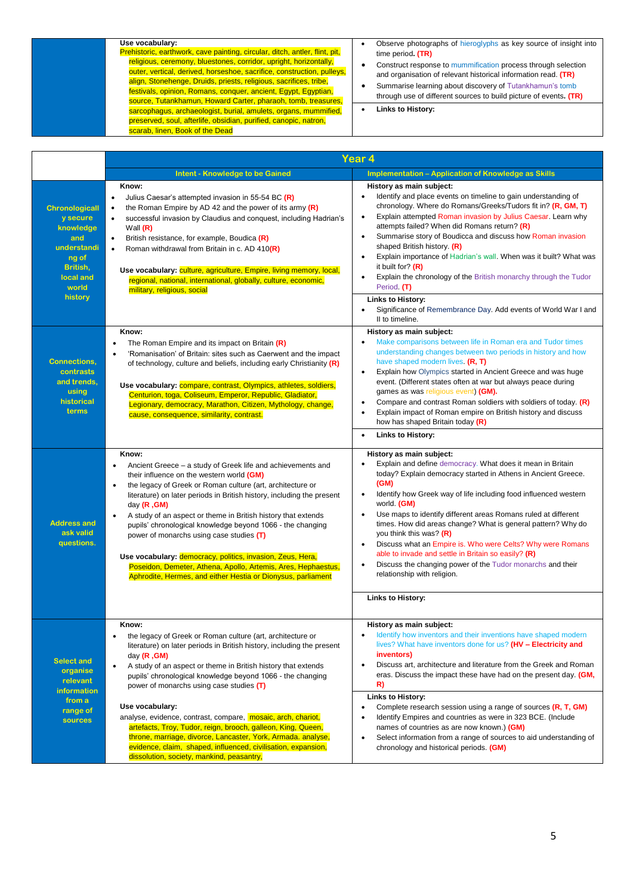## **Use vocabulary:**

Prehistoric, earthwork, cave painting, circular, ditch, antler, flint, pit, religious, ceremony, bluestones, corridor, upright, horizontally, outer, vertical, derived, horseshoe, sacrifice, construction, pulleys, align, Stonehenge, Druids, priests, religious, sacrifices, tribe, festivals, opinion, Romans, conquer, ancient, Egypt, Egyptian, source, Tutankhamun, Howard Carter, pharaoh, tomb, treasures, sarcophagus, archaeologist, burial, amulets, organs, mummified, preserved, soul, afterlife, obsidian, purified, canopic, natron, scarab, linen, Book of the Dead

| Observe photographs of hieroglyphs as key source of insight into |  |
|------------------------------------------------------------------|--|
| time period. (TR)                                                |  |

- Construct response to mummification process through selection and organisation of relevant historical information read. **(TR)**
- Summarise learning about discovery of Tutankhamun's tomb through use of different sources to build picture of events**. (TR)**
- **Links to History:**

|                                                                                                                            | Year 4                                                                                                                                                                                                                                                                                                                                                                                                                                                                                                                                                                                                                                                                                      |                                                                                                                                                                                                                                                                                                                                                                                                                                                                                                                                                                                                                                                                                                               |  |
|----------------------------------------------------------------------------------------------------------------------------|---------------------------------------------------------------------------------------------------------------------------------------------------------------------------------------------------------------------------------------------------------------------------------------------------------------------------------------------------------------------------------------------------------------------------------------------------------------------------------------------------------------------------------------------------------------------------------------------------------------------------------------------------------------------------------------------|---------------------------------------------------------------------------------------------------------------------------------------------------------------------------------------------------------------------------------------------------------------------------------------------------------------------------------------------------------------------------------------------------------------------------------------------------------------------------------------------------------------------------------------------------------------------------------------------------------------------------------------------------------------------------------------------------------------|--|
|                                                                                                                            | <b>Intent - Knowledge to be Gained</b>                                                                                                                                                                                                                                                                                                                                                                                                                                                                                                                                                                                                                                                      | <b>Implementation - Application of Knowledge as Skills</b>                                                                                                                                                                                                                                                                                                                                                                                                                                                                                                                                                                                                                                                    |  |
| <b>Chronologicall</b><br>y secure<br>knowledge<br>and<br>understandi<br>ng of<br>British.<br>local and<br>world<br>history | Know:<br>Julius Caesar's attempted invasion in 55-54 BC (R)<br>$\bullet$<br>the Roman Empire by AD 42 and the power of its army $(R)$<br>$\bullet$<br>successful invasion by Claudius and conquest, including Hadrian's<br>$\bullet$<br>Wall $(R)$<br>British resistance, for example, Boudica (R)<br>$\bullet$<br>Roman withdrawal from Britain in c. AD 410(R)<br>$\bullet$<br>Use vocabulary: culture, agriculture, Empire, living memory, local,<br>regional, national, international, globally, culture, economic,<br>military, religious, social                                                                                                                                      | History as main subject:<br>Identify and place events on timeline to gain understanding of<br>$\bullet$<br>chronology. Where do Romans/Greeks/Tudors fit in? (R, GM, T)<br>Explain attempted Roman invasion by Julius Caesar. Learn why<br>attempts failed? When did Romans return? (R)<br>Summarise story of Boudicca and discuss how Roman invasion<br>$\bullet$<br>shaped British history. (R)<br>Explain importance of Hadrian's wall. When was it built? What was<br>$\bullet$<br>it built for? $(R)$<br>Explain the chronology of the British monarchy through the Tudor<br>Period (T)<br><b>Links to History:</b><br>Significance of Remembrance Day. Add events of World War I and<br>II to timeline. |  |
| <b>Connections,</b><br>contrasts<br>and trends,<br>using<br>historical<br>terms                                            | Know:<br>The Roman Empire and its impact on Britain (R)<br>'Romanisation' of Britain: sites such as Caerwent and the impact<br>of technology, culture and beliefs, including early Christianity (R)<br>Use vocabulary: compare, contrast, Olympics, athletes, soldiers,<br>Centurion, toga, Coliseum, Emperor, Republic, Gladiator,<br>Legionary, democracy, Marathon, Citizen, Mythology, change,<br>cause, consequence, similarity, contrast.                                                                                                                                                                                                                                             | History as main subject:<br>Make comparisons between life in Roman era and Tudor times<br>$\bullet$<br>understanding changes between two periods in history and how<br>have shaped modern lives. (R, T)<br>Explain how Olympics started in Ancient Greece and was huge<br>$\bullet$<br>event. (Different states often at war but always peace during<br>games as was religious event) (GM).<br>Compare and contrast Roman soldiers with soldiers of today. (R)<br>$\bullet$<br>Explain impact of Roman empire on British history and discuss<br>how has shaped Britain today (R)<br>Links to History:<br>$\bullet$                                                                                            |  |
| <b>Address and</b><br>ask valid<br>questions.                                                                              | Know:<br>Ancient Greece – a study of Greek life and achievements and<br>their influence on the western world (GM)<br>the legacy of Greek or Roman culture (art, architecture or<br>literature) on later periods in British history, including the present<br>day $(R, GM)$<br>A study of an aspect or theme in British history that extends<br>$\bullet$<br>pupils' chronological knowledge beyond 1066 - the changing<br>power of monarchs using case studies (T)<br>Use vocabulary: democracy, politics, invasion, Zeus, Hera,<br>Poseidon, Demeter, Athena, Apollo, Artemis, Ares, Hephaestus,<br>Aphrodite, Hermes, and either Hestia or Dionysus, parliament                           | History as main subject:<br>Explain and define democracy. What does it mean in Britain<br>today? Explain democracy started in Athens in Ancient Greece.<br>(GM)<br>Identify how Greek way of life including food influenced western<br>$\bullet$<br>world. (GM)<br>Use maps to identify different areas Romans ruled at different<br>times. How did areas change? What is general pattern? Why do<br>you think this was? $(R)$<br>Discuss what an Empire is. Who were Celts? Why were Romans<br>$\bullet$<br>able to invade and settle in Britain so easily? $(R)$<br>Discuss the changing power of the Tudor monarchs and their<br>relationship with religion.<br><b>Links to History:</b>                   |  |
| <b>Select and</b><br>organise<br>relevant<br><b>information</b><br>from a<br>range of<br>sources                           | the legacy of Greek or Roman culture (art, architecture or<br>$\bullet$<br>literature) on later periods in British history, including the present<br>day $(R, GM)$<br>A study of an aspect or theme in British history that extends<br>$\bullet$<br>pupils' chronological knowledge beyond 1066 - the changing<br>power of monarchs using case studies (T)<br>Use vocabulary:<br>analyse, evidence, contrast, compare, mosaic, arch, chariot,<br>artefacts, Troy, Tudor, reign, brooch, galleon, King, Queen,<br>throne, marriage, divorce, Lancaster, York, Armada. analyse,<br>evidence, claim, shaped, influenced, civilisation, expansion,<br>dissolution, society, mankind, peasantry, | History as main subject:<br>Identify how inventors and their inventions have shaped modern<br>lives? What have inventors done for us? (HV - Electricity and<br>inventors)<br>Discuss art, architecture and literature from the Greek and Roman<br>$\bullet$<br>eras. Discuss the impact these have had on the present day. (GM,<br>R)<br>Links to History:<br>Complete research session using a range of sources (R, T, GM)<br>Identify Empires and countries as were in 323 BCE. (Include<br>names of countries as are now known.) (GM)<br>Select information from a range of sources to aid understanding of<br>$\bullet$<br>chronology and historical periods. (GM)                                        |  |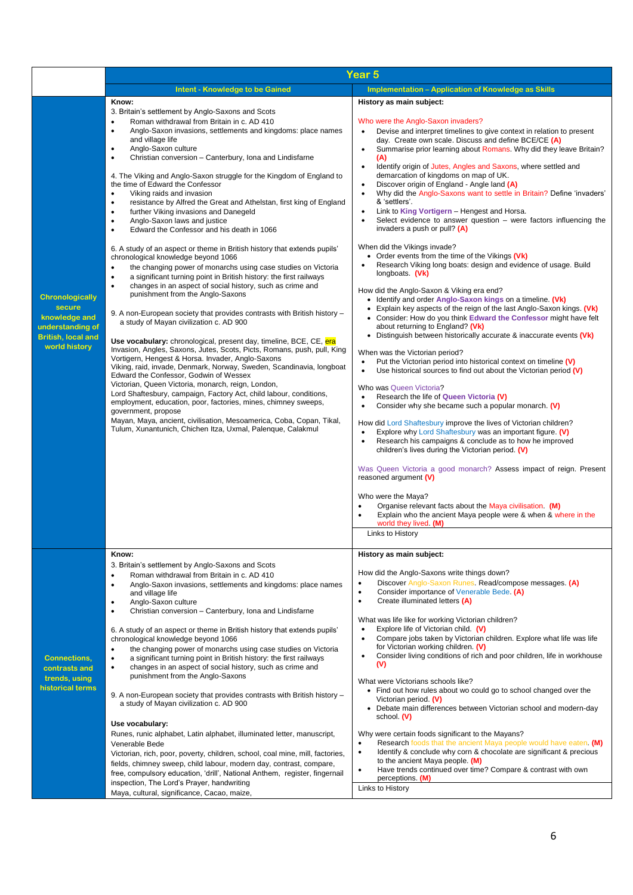|                                                                                                                     | Year <sub>5</sub>                                                                                                                                                                                                                                                                                                                                                                                                                                                                                                                                                                                                                                                                                                                                                                                                                                                                                                                                                                                                                                                                                                                                                                                                                                                                                                                                                                                                                                                                                                                                                                                                                                                                                                                                                                                                                                                                                                                               |                                                                                                                                                                                                                                                                                                                                                                                                                                                                                                                                                                                                                                                                                                                                                                                                                                                                                                                                                                                                                                                                                                                                                                                                                                                                                                                                                                                                                                                                                                                                                                                                                                                                                                                                                                                                                                                                                                                                                                                                                                                                                                                                                                                                                                       |  |
|---------------------------------------------------------------------------------------------------------------------|-------------------------------------------------------------------------------------------------------------------------------------------------------------------------------------------------------------------------------------------------------------------------------------------------------------------------------------------------------------------------------------------------------------------------------------------------------------------------------------------------------------------------------------------------------------------------------------------------------------------------------------------------------------------------------------------------------------------------------------------------------------------------------------------------------------------------------------------------------------------------------------------------------------------------------------------------------------------------------------------------------------------------------------------------------------------------------------------------------------------------------------------------------------------------------------------------------------------------------------------------------------------------------------------------------------------------------------------------------------------------------------------------------------------------------------------------------------------------------------------------------------------------------------------------------------------------------------------------------------------------------------------------------------------------------------------------------------------------------------------------------------------------------------------------------------------------------------------------------------------------------------------------------------------------------------------------|---------------------------------------------------------------------------------------------------------------------------------------------------------------------------------------------------------------------------------------------------------------------------------------------------------------------------------------------------------------------------------------------------------------------------------------------------------------------------------------------------------------------------------------------------------------------------------------------------------------------------------------------------------------------------------------------------------------------------------------------------------------------------------------------------------------------------------------------------------------------------------------------------------------------------------------------------------------------------------------------------------------------------------------------------------------------------------------------------------------------------------------------------------------------------------------------------------------------------------------------------------------------------------------------------------------------------------------------------------------------------------------------------------------------------------------------------------------------------------------------------------------------------------------------------------------------------------------------------------------------------------------------------------------------------------------------------------------------------------------------------------------------------------------------------------------------------------------------------------------------------------------------------------------------------------------------------------------------------------------------------------------------------------------------------------------------------------------------------------------------------------------------------------------------------------------------------------------------------------------|--|
|                                                                                                                     | <b>Intent - Knowledge to be Gained</b>                                                                                                                                                                                                                                                                                                                                                                                                                                                                                                                                                                                                                                                                                                                                                                                                                                                                                                                                                                                                                                                                                                                                                                                                                                                                                                                                                                                                                                                                                                                                                                                                                                                                                                                                                                                                                                                                                                          | <b>Implementation - Application of Knowledge as Skills</b>                                                                                                                                                                                                                                                                                                                                                                                                                                                                                                                                                                                                                                                                                                                                                                                                                                                                                                                                                                                                                                                                                                                                                                                                                                                                                                                                                                                                                                                                                                                                                                                                                                                                                                                                                                                                                                                                                                                                                                                                                                                                                                                                                                            |  |
| <b>Chronologically</b><br>secure<br>knowledge and<br>understanding of<br><b>British, local and</b><br>world history | Know:<br>3. Britain's settlement by Anglo-Saxons and Scots<br>Roman withdrawal from Britain in c. AD 410<br>$\bullet$<br>Anglo-Saxon invasions, settlements and kingdoms: place names<br>$\bullet$<br>and village life<br>Anglo-Saxon culture<br>$\bullet$<br>Christian conversion - Canterbury, Iona and Lindisfarne<br>$\bullet$<br>4. The Viking and Anglo-Saxon struggle for the Kingdom of England to<br>the time of Edward the Confessor<br>Viking raids and invasion<br>$\bullet$<br>resistance by Alfred the Great and Athelstan, first king of England<br>$\bullet$<br>further Viking invasions and Danegeld<br>٠<br>Anglo-Saxon laws and justice<br>$\bullet$<br>Edward the Confessor and his death in 1066<br>$\bullet$<br>6. A study of an aspect or theme in British history that extends pupils'<br>chronological knowledge beyond 1066<br>the changing power of monarchs using case studies on Victoria<br>$\bullet$<br>a significant turning point in British history: the first railways<br>$\bullet$<br>changes in an aspect of social history, such as crime and<br>$\bullet$<br>punishment from the Anglo-Saxons<br>9. A non-European society that provides contrasts with British history -<br>a study of Mayan civilization c. AD 900<br>Use vocabulary: chronological, present day, timeline, BCE, CE, era<br>Invasion, Angles, Saxons, Jutes, Scots, Picts, Romans, push, pull, King<br>Vortigern, Hengest & Horsa. Invader, Anglo-Saxons<br>Viking, raid, invade, Denmark, Norway, Sweden, Scandinavia, longboat<br>Edward the Confessor, Godwin of Wessex<br>Victorian, Queen Victoria, monarch, reign, London,<br>Lord Shaftesbury, campaign, Factory Act, child labour, conditions,<br>employment, education, poor, factories, mines, chimney sweeps,<br>government, propose<br>Mayan, Maya, ancient, civilisation, Mesoamerica, Coba, Copan, Tikal,<br>Tulum, Xunantunich, Chichen Itza, Uxmal, Palenque, Calakmul | History as main subject:<br>Who were the Anglo-Saxon invaders?<br>Devise and interpret timelines to give context in relation to present<br>day. Create own scale. Discuss and define BCE/CE (A)<br>Summarise prior learning about Romans. Why did they leave Britain?<br>$\bullet$<br>(A)<br>Identify origin of Jutes, Angles and Saxons, where settled and<br>demarcation of kingdoms on map of UK.<br>Discover origin of England - Angle land (A)<br>$\bullet$<br>Why did the Anglo-Saxons want to settle in Britain? Define 'invaders'<br>$\bullet$<br>& 'settlers'.<br>Link to King Vortigern - Hengest and Horsa.<br>Select evidence to answer question $-$ were factors influencing the<br>$\bullet$<br>invaders a push or pull? $(A)$<br>When did the Vikings invade?<br>• Order events from the time of the Vikings (Vk)<br>Research Viking long boats: design and evidence of usage. Build<br>longboats. (Vk)<br>How did the Anglo-Saxon & Viking era end?<br>• Identify and order Anglo-Saxon kings on a timeline. (Vk)<br>• Explain key aspects of the reign of the last Anglo-Saxon kings. (Vk)<br>• Consider: How do you think Edward the Confessor might have felt<br>about returning to England? (Vk)<br>• Distinguish between historically accurate & inaccurate events (Vk)<br>When was the Victorian period?<br>Put the Victorian period into historical context on timeline (V)<br>$\bullet$<br>Use historical sources to find out about the Victorian period (V)<br>$\bullet$<br>Who was Queen Victoria?<br>Research the life of Queen Victoria (V)<br>$\bullet$<br>Consider why she became such a popular monarch. (V)<br>How did Lord Shaftesbury improve the lives of Victorian children?<br>Explore why Lord Shaftesbury was an important figure. (V)<br>$\bullet$<br>Research his campaigns & conclude as to how he improved<br>$\bullet$<br>children's lives during the Victorian period. (V)<br>Was Queen Victoria a good monarch? Assess impact of reign. Present<br>reasoned argument $(V)$<br>Who were the Maya?<br>Organise relevant facts about the Maya civilisation (M)<br>Explain who the ancient Maya people were & when & where in the<br>$\bullet$<br>world they lived. (M)<br>Links to History |  |
| <b>Connections,</b><br>contrasts and<br>trends, using<br>historical terms                                           | Know:<br>3. Britain's settlement by Anglo-Saxons and Scots<br>Roman withdrawal from Britain in c. AD 410<br>٠<br>Anglo-Saxon invasions, settlements and kingdoms: place names<br>$\bullet$<br>and village life<br>Anglo-Saxon culture<br>$\bullet$<br>Christian conversion - Canterbury, Iona and Lindisfarne<br>$\bullet$<br>6. A study of an aspect or theme in British history that extends pupils'<br>chronological knowledge beyond 1066<br>the changing power of monarchs using case studies on Victoria<br>$\bullet$<br>a significant turning point in British history: the first railways<br>٠<br>changes in an aspect of social history, such as crime and<br>$\bullet$<br>punishment from the Anglo-Saxons<br>9. A non-European society that provides contrasts with British history -<br>a study of Mayan civilization c. AD 900<br>Use vocabulary:<br>Runes, runic alphabet, Latin alphabet, illuminated letter, manuscript,<br>Venerable Bede<br>Victorian, rich, poor, poverty, children, school, coal mine, mill, factories,<br>fields, chimney sweep, child labour, modern day, contrast, compare,<br>free, compulsory education, 'drill', National Anthem, register, fingernail<br>inspection, The Lord's Prayer, handwriting<br>Maya, cultural, significance, Cacao, maize,                                                                                                                                                                                                                                                                                                                                                                                                                                                                                                                                                                                                                                                   | History as main subject:<br>How did the Anglo-Saxons write things down?<br>Discover Anglo-Saxon Runes. Read/compose messages. (A)<br>$\bullet$<br>Consider importance of Venerable Bede. (A)<br>$\bullet$<br>Create illuminated letters (A)<br>$\bullet$<br>What was life like for working Victorian children?<br>Explore life of Victorian child. (V)<br>$\bullet$<br>Compare jobs taken by Victorian children. Explore what life was life<br>for Victorian working children. (V)<br>Consider living conditions of rich and poor children, life in workhouse<br>$\bullet$<br>(V)<br>What were Victorians schools like?<br>• Find out how rules about wo could go to school changed over the<br>Victorian period. (V)<br>• Debate main differences between Victorian school and modern-day<br>school (V)<br>Why were certain foods significant to the Mayans?<br>Research foods that the ancient Maya people would have eaten (M)<br>$\bullet$<br>Identify & conclude why corn & chocolate are significant & precious<br>$\bullet$<br>to the ancient Maya people. (M)<br>Have trends continued over time? Compare & contrast with own<br>$\bullet$<br>perceptions. (M)<br>Links to History                                                                                                                                                                                                                                                                                                                                                                                                                                                                                                                                                                                                                                                                                                                                                                                                                                                                                                                                                                                                                                            |  |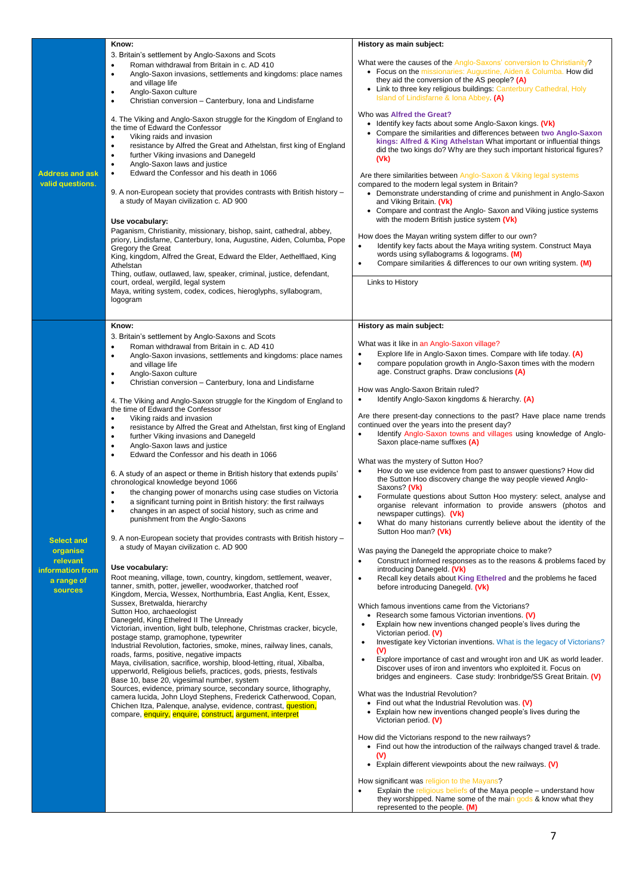|                                                                                        | Know:                                                                                                                                                                                                                                                                                                                                                                                                                                                                                                                                                                                                                                                                                                                                                                                                                                                                                                                                                                                                                                                                                                                                                                                                                                                                                                                                                                                                                                                                                                                                                                                                                                                                                                                                                                                                                                                                                                                                                                                                                                                                                                                                                                                                                                                                                                         | History as main subject:                                                                                                                                                                                                                                                                                                                                                                                                                                                                                                                                                                                                                                                                                                                                                                                                                                                                                                                                                                                                                                                                                                                                                                                                                                                                                                                                                                                                                                                                                                                                                                                                                                                                                                                                                                                                                                                                                                                                                                                                                                                                                                                                                                                                                                                                                            |
|----------------------------------------------------------------------------------------|---------------------------------------------------------------------------------------------------------------------------------------------------------------------------------------------------------------------------------------------------------------------------------------------------------------------------------------------------------------------------------------------------------------------------------------------------------------------------------------------------------------------------------------------------------------------------------------------------------------------------------------------------------------------------------------------------------------------------------------------------------------------------------------------------------------------------------------------------------------------------------------------------------------------------------------------------------------------------------------------------------------------------------------------------------------------------------------------------------------------------------------------------------------------------------------------------------------------------------------------------------------------------------------------------------------------------------------------------------------------------------------------------------------------------------------------------------------------------------------------------------------------------------------------------------------------------------------------------------------------------------------------------------------------------------------------------------------------------------------------------------------------------------------------------------------------------------------------------------------------------------------------------------------------------------------------------------------------------------------------------------------------------------------------------------------------------------------------------------------------------------------------------------------------------------------------------------------------------------------------------------------------------------------------------------------|---------------------------------------------------------------------------------------------------------------------------------------------------------------------------------------------------------------------------------------------------------------------------------------------------------------------------------------------------------------------------------------------------------------------------------------------------------------------------------------------------------------------------------------------------------------------------------------------------------------------------------------------------------------------------------------------------------------------------------------------------------------------------------------------------------------------------------------------------------------------------------------------------------------------------------------------------------------------------------------------------------------------------------------------------------------------------------------------------------------------------------------------------------------------------------------------------------------------------------------------------------------------------------------------------------------------------------------------------------------------------------------------------------------------------------------------------------------------------------------------------------------------------------------------------------------------------------------------------------------------------------------------------------------------------------------------------------------------------------------------------------------------------------------------------------------------------------------------------------------------------------------------------------------------------------------------------------------------------------------------------------------------------------------------------------------------------------------------------------------------------------------------------------------------------------------------------------------------------------------------------------------------------------------------------------------------|
| <b>Address and ask</b><br>valid questions.                                             | 3. Britain's settlement by Anglo-Saxons and Scots<br>Roman withdrawal from Britain in c. AD 410<br>$\bullet$<br>Anglo-Saxon invasions, settlements and kingdoms: place names<br>$\bullet$<br>and village life<br>Anglo-Saxon culture<br>$\bullet$<br>Christian conversion - Canterbury, Iona and Lindisfarne<br>$\bullet$<br>4. The Viking and Anglo-Saxon struggle for the Kingdom of England to<br>the time of Edward the Confessor<br>Viking raids and invasion<br>$\bullet$<br>resistance by Alfred the Great and Athelstan, first king of England<br>further Viking invasions and Danegeld<br>$\bullet$<br>Anglo-Saxon laws and justice<br>$\bullet$<br>Edward the Confessor and his death in 1066<br>$\bullet$<br>9. A non-European society that provides contrasts with British history -<br>a study of Mayan civilization c. AD 900<br>Use vocabulary:<br>Paganism, Christianity, missionary, bishop, saint, cathedral, abbey,                                                                                                                                                                                                                                                                                                                                                                                                                                                                                                                                                                                                                                                                                                                                                                                                                                                                                                                                                                                                                                                                                                                                                                                                                                                                                                                                                                        | What were the causes of the Anglo-Saxons' conversion to Christianity?<br>• Focus on the missionaries: Augustine, Aiden & Columba. How did<br>they aid the conversion of the AS people? $(A)$<br>• Link to three key religious buildings: Canterbury Cathedral, Holy<br>Island of Lindisfarne & Iona Abbey (A)<br>Who was Alfred the Great?<br>• Identify key facts about some Anglo-Saxon kings. (Vk)<br>• Compare the similarities and differences between two Anglo-Saxon<br>kings: Alfred & King Athelstan What important or influential things<br>did the two kings do? Why are they such important historical figures?<br>(V <sub>k</sub> )<br>Are there similarities between Anglo-Saxon & Viking legal systems<br>compared to the modern legal system in Britain?<br>• Demonstrate understanding of crime and punishment in Anglo-Saxon<br>and Viking Britain. (Vk)<br>• Compare and contrast the Anglo- Saxon and Viking justice systems<br>with the modern British justice system (Vk)                                                                                                                                                                                                                                                                                                                                                                                                                                                                                                                                                                                                                                                                                                                                                                                                                                                                                                                                                                                                                                                                                                                                                                                                                                                                                                                     |
|                                                                                        | priory, Lindisfarne, Canterbury, Iona, Augustine, Aiden, Columba, Pope<br>Gregory the Great<br>King, kingdom, Alfred the Great, Edward the Elder, Aethelflaed, King<br>Athelstan<br>Thing, outlaw, outlawed, law, speaker, criminal, justice, defendant,                                                                                                                                                                                                                                                                                                                                                                                                                                                                                                                                                                                                                                                                                                                                                                                                                                                                                                                                                                                                                                                                                                                                                                                                                                                                                                                                                                                                                                                                                                                                                                                                                                                                                                                                                                                                                                                                                                                                                                                                                                                      | How does the Mayan writing system differ to our own?<br>Identify key facts about the Maya writing system. Construct Maya<br>$\bullet$<br>words using syllabograms & logograms. (M)<br>Compare similarities & differences to our own writing system. (M)<br>$\bullet$                                                                                                                                                                                                                                                                                                                                                                                                                                                                                                                                                                                                                                                                                                                                                                                                                                                                                                                                                                                                                                                                                                                                                                                                                                                                                                                                                                                                                                                                                                                                                                                                                                                                                                                                                                                                                                                                                                                                                                                                                                                |
|                                                                                        | court, ordeal, wergild, legal system<br>Maya, writing system, codex, codices, hieroglyphs, syllabogram,<br>logogram                                                                                                                                                                                                                                                                                                                                                                                                                                                                                                                                                                                                                                                                                                                                                                                                                                                                                                                                                                                                                                                                                                                                                                                                                                                                                                                                                                                                                                                                                                                                                                                                                                                                                                                                                                                                                                                                                                                                                                                                                                                                                                                                                                                           | Links to History                                                                                                                                                                                                                                                                                                                                                                                                                                                                                                                                                                                                                                                                                                                                                                                                                                                                                                                                                                                                                                                                                                                                                                                                                                                                                                                                                                                                                                                                                                                                                                                                                                                                                                                                                                                                                                                                                                                                                                                                                                                                                                                                                                                                                                                                                                    |
|                                                                                        | Know:                                                                                                                                                                                                                                                                                                                                                                                                                                                                                                                                                                                                                                                                                                                                                                                                                                                                                                                                                                                                                                                                                                                                                                                                                                                                                                                                                                                                                                                                                                                                                                                                                                                                                                                                                                                                                                                                                                                                                                                                                                                                                                                                                                                                                                                                                                         | History as main subject:                                                                                                                                                                                                                                                                                                                                                                                                                                                                                                                                                                                                                                                                                                                                                                                                                                                                                                                                                                                                                                                                                                                                                                                                                                                                                                                                                                                                                                                                                                                                                                                                                                                                                                                                                                                                                                                                                                                                                                                                                                                                                                                                                                                                                                                                                            |
| <b>Select and</b><br>organise<br>relevant<br>information from<br>a range of<br>sources | 3. Britain's settlement by Anglo-Saxons and Scots<br>Roman withdrawal from Britain in c. AD 410<br>$\bullet$<br>Anglo-Saxon invasions, settlements and kingdoms: place names<br>$\bullet$<br>and village life<br>Anglo-Saxon culture<br>$\bullet$<br>Christian conversion - Canterbury, Iona and Lindisfarne<br>$\bullet$<br>4. The Viking and Anglo-Saxon struggle for the Kingdom of England to<br>the time of Edward the Confessor<br>Viking raids and invasion<br>$\bullet$<br>resistance by Alfred the Great and Athelstan, first king of England<br>$\bullet$<br>further Viking invasions and Danegeld<br>$\bullet$<br>Anglo-Saxon laws and justice<br>$\bullet$<br>Edward the Confessor and his death in 1066<br>$\bullet$<br>6. A study of an aspect or theme in British history that extends pupils'<br>chronological knowledge beyond 1066<br>the changing power of monarchs using case studies on Victoria<br>$\bullet$<br>a significant turning point in British history: the first railways<br>$\bullet$<br>changes in an aspect of social history, such as crime and<br>$\bullet$<br>punishment from the Anglo-Saxons<br>9. A non-European society that provides contrasts with British history –<br>a study of Mayan civilization c. AD 900<br>Use vocabulary:<br>Root meaning, village, town, country, kingdom, settlement, weaver,<br>tanner, smith, potter, jeweller, woodworker, thatched roof<br>Kingdom, Mercia, Wessex, Northumbria, East Anglia, Kent, Essex,<br>Sussex, Bretwalda, hierarchy<br>Sutton Hoo, archaeologist<br>Danegeld, King Ethelred II The Unready<br>Victorian, invention, light bulb, telephone, Christmas cracker, bicycle,<br>postage stamp, gramophone, typewriter<br>Industrial Revolution, factories, smoke, mines, railway lines, canals,<br>roads, farms, positive, negative impacts<br>Maya, civilisation, sacrifice, worship, blood-letting, ritual, Xibalba,<br>upperworld, Religious beliefs, practices, gods, priests, festivals<br>Base 10, base 20, vigesimal number, system<br>Sources, evidence, primary source, secondary source, lithography,<br>camera lucida, John Lloyd Stephens, Frederick Catherwood, Copan,<br>Chichen Itza, Palenque, analyse, evidence, contrast, question,<br>compare, enquiry, enquire, construct, argument, interpret | What was it like in an Anglo-Saxon village?<br>Explore life in Anglo-Saxon times. Compare with life today. (A)<br>$\bullet$<br>compare population growth in Anglo-Saxon times with the modern<br>$\bullet$<br>age. Construct graphs. Draw conclusions (A)<br>How was Anglo-Saxon Britain ruled?<br>Identify Anglo-Saxon kingdoms & hierarchy. (A)<br>$\bullet$<br>Are there present-day connections to the past? Have place name trends<br>continued over the years into the present day?<br>Identify Anglo-Saxon towns and villages using knowledge of Anglo-<br>$\bullet$<br>Saxon place-name suffixes (A)<br>What was the mystery of Sutton Hoo?<br>How do we use evidence from past to answer questions? How did<br>$\bullet$<br>the Sutton Hoo discovery change the way people viewed Anglo-<br>Saxons? (Vk)<br>Formulate questions about Sutton Hoo mystery: select, analyse and<br>$\bullet$<br>organise relevant information to provide answers (photos and<br>newspaper cuttings). (Vk)<br>What do many historians currently believe about the identity of the<br>$\bullet$<br>Sutton Hoo man? (Vk)<br>Was paying the Danegeld the appropriate choice to make?<br>Construct informed responses as to the reasons & problems faced by<br>$\bullet$<br>introducing Danegeld. (Vk)<br>Recall key details about King Ethelred and the problems he faced<br>$\bullet$<br>before introducing Danegeld. (Vk)<br>Which famous inventions came from the Victorians?<br>• Research some famous Victorian inventions. (V)<br>Explain how new inventions changed people's lives during the<br>Victorian period. (V)<br>Investigate key Victorian inventions. What is the legacy of Victorians?<br>(V)<br>Explore importance of cast and wrought iron and UK as world leader.<br>Discover uses of iron and inventors who exploited it. Focus on<br>bridges and engineers. Case study: Ironbridge/SS Great Britain. (V)<br>What was the Industrial Revolution?<br>• Find out what the Industrial Revolution was. (V)<br>• Explain how new inventions changed people's lives during the<br>Victorian period. (V)<br>How did the Victorians respond to the new railways?<br>• Find out how the introduction of the railways changed travel & trade.<br>(V)<br>• Explain different viewpoints about the new railways. $(V)$ |
|                                                                                        |                                                                                                                                                                                                                                                                                                                                                                                                                                                                                                                                                                                                                                                                                                                                                                                                                                                                                                                                                                                                                                                                                                                                                                                                                                                                                                                                                                                                                                                                                                                                                                                                                                                                                                                                                                                                                                                                                                                                                                                                                                                                                                                                                                                                                                                                                                               | How significant was religion to the Mayans?<br>Explain the religious beliefs of the Maya people – understand how<br>they worshipped. Name some of the main gods & know what they<br>represented to the people (M)                                                                                                                                                                                                                                                                                                                                                                                                                                                                                                                                                                                                                                                                                                                                                                                                                                                                                                                                                                                                                                                                                                                                                                                                                                                                                                                                                                                                                                                                                                                                                                                                                                                                                                                                                                                                                                                                                                                                                                                                                                                                                                   |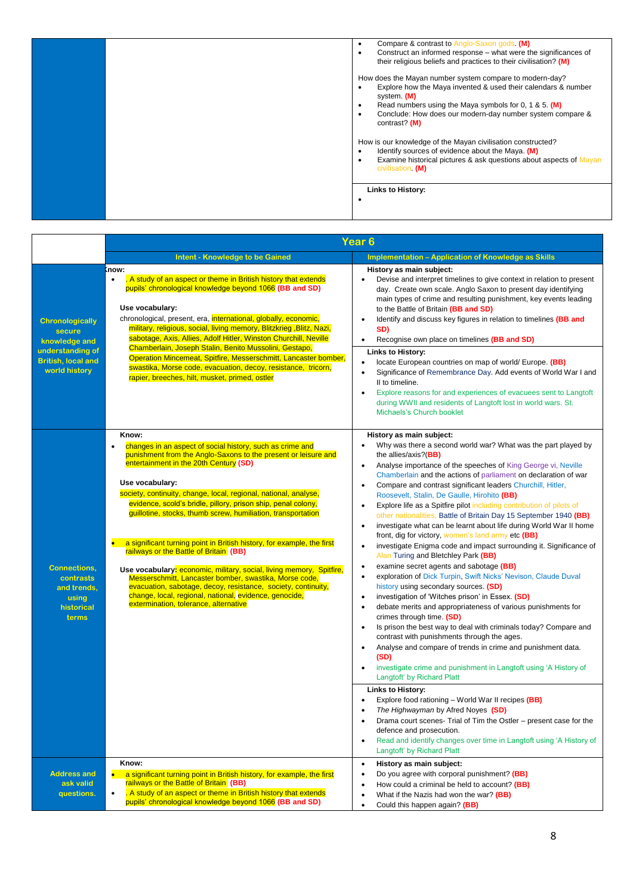|  | Compare & contrast to Anglo-Saxon gods (M)<br>$\bullet$<br>Construct an informed response – what were the significances of<br>$\bullet$<br>their religious beliefs and practices to their civilisation? (M)                                                                                                          |
|--|----------------------------------------------------------------------------------------------------------------------------------------------------------------------------------------------------------------------------------------------------------------------------------------------------------------------|
|  | How does the Mayan number system compare to modern-day?<br>Explore how the Maya invented & used their calendars & number<br>$\bullet$<br>system. (M)<br>Read numbers using the Maya symbols for 0, 1 & 5 (M)<br>$\bullet$<br>Conclude: How does our modern-day number system compare &<br>$\bullet$<br>contrast? (M) |
|  | How is our knowledge of the Mayan civilisation constructed?<br>Identify sources of evidence about the Maya. (M)<br>$\bullet$<br>Examine historical pictures & ask questions about aspects of Mayan<br>$\bullet$<br>civilisation (M)                                                                                  |
|  | <b>Links to History:</b>                                                                                                                                                                                                                                                                                             |

|                                                                                                                     | Year 6                                                                                                                                                                                                                                                                                                                                                                                                                                                                                                                                                                                                                                                                                                                                                                                                                                        |                                                                                                                                                                                                                                                                                                                                                                                                                                                                                                                                                                                                                                                                                                                                                                                                                                                                                                                                                                                                                                                                                                                                                                                                                                                                                                                                                                                                                                                                                                                                                                                                                                                                                                                                                                                                                               |  |  |  |  |
|---------------------------------------------------------------------------------------------------------------------|-----------------------------------------------------------------------------------------------------------------------------------------------------------------------------------------------------------------------------------------------------------------------------------------------------------------------------------------------------------------------------------------------------------------------------------------------------------------------------------------------------------------------------------------------------------------------------------------------------------------------------------------------------------------------------------------------------------------------------------------------------------------------------------------------------------------------------------------------|-------------------------------------------------------------------------------------------------------------------------------------------------------------------------------------------------------------------------------------------------------------------------------------------------------------------------------------------------------------------------------------------------------------------------------------------------------------------------------------------------------------------------------------------------------------------------------------------------------------------------------------------------------------------------------------------------------------------------------------------------------------------------------------------------------------------------------------------------------------------------------------------------------------------------------------------------------------------------------------------------------------------------------------------------------------------------------------------------------------------------------------------------------------------------------------------------------------------------------------------------------------------------------------------------------------------------------------------------------------------------------------------------------------------------------------------------------------------------------------------------------------------------------------------------------------------------------------------------------------------------------------------------------------------------------------------------------------------------------------------------------------------------------------------------------------------------------|--|--|--|--|
|                                                                                                                     | <b>Intent - Knowledge to be Gained</b>                                                                                                                                                                                                                                                                                                                                                                                                                                                                                                                                                                                                                                                                                                                                                                                                        | <b>Implementation - Application of Knowledge as Skills</b>                                                                                                                                                                                                                                                                                                                                                                                                                                                                                                                                                                                                                                                                                                                                                                                                                                                                                                                                                                                                                                                                                                                                                                                                                                                                                                                                                                                                                                                                                                                                                                                                                                                                                                                                                                    |  |  |  |  |
| <b>Chronologically</b><br>secure<br>knowledge and<br>understanding of<br><b>British, local and</b><br>world history | (now:<br>. A study of an aspect or theme in British history that extends<br>pupils' chronological knowledge beyond 1066 (BB and SD)<br>Use vocabulary:<br>chronological, present, era, <i>international</i> , globally, economic,<br>military, religious, social, living memory, Blitzkrieg, Blitz, Nazi,<br>sabotage, Axis, Allies, Adolf Hitler, Winston Churchill, Neville<br>Chamberlain, Joseph Stalin, Benito Mussolini, Gestapo,<br>Operation Mincemeat, Spitfire, Messerschmitt, Lancaster bomber,<br>swastika, Morse code, evacuation, decoy, resistance, tricorn,<br>rapier, breeches, hilt, musket, primed, ostler                                                                                                                                                                                                                 | History as main subject:<br>Devise and interpret timelines to give context in relation to present<br>$\bullet$<br>day. Create own scale. Anglo Saxon to present day identifying<br>main types of crime and resulting punishment, key events leading<br>to the Battle of Britain (BB and SD)<br>Identify and discuss key figures in relation to timelines (BB and<br>SD)<br>Recognise own place on timelines (BB and SD)<br>$\bullet$<br><b>Links to History:</b><br>locate European countries on map of world/ Europe. (BB)<br>$\bullet$<br>Significance of Remembrance Day. Add events of World War I and<br>II to timeline.<br>Explore reasons for and experiences of evacuees sent to Langtoft<br>$\bullet$<br>during WWII and residents of Langtoft lost in world wars. St.<br>Michaels's Church booklet                                                                                                                                                                                                                                                                                                                                                                                                                                                                                                                                                                                                                                                                                                                                                                                                                                                                                                                                                                                                                  |  |  |  |  |
| <b>Connections,</b><br>contrasts<br>and trends,<br>using<br>historical<br>terms                                     | Know:<br>changes in an aspect of social history, such as crime and<br>$\bullet$<br>punishment from the Anglo-Saxons to the present or leisure and<br>entertainment in the 20th Century (SD)<br>Use vocabulary:<br>society, continuity, change, local, regional, national, analyse,<br>evidence, scold's bridle, pillory, prison ship, penal colony,<br>guillotine, stocks, thumb screw, humiliation, transportation<br>a significant turning point in British history, for example, the first<br>railways or the Battle of Britain (BB)<br>Use vocabulary: economic, military, social, living memory, Spitfire,<br>Messerschmitt, Lancaster bomber, swastika, Morse code,<br>evacuation, sabotage, decoy, resistance, society, continuity,<br>change, local, regional, national, evidence, genocide,<br>extermination, tolerance, alternative | History as main subject:<br>Why was there a second world war? What was the part played by<br>$\bullet$<br>the allies/axis?(BB)<br>Analyse importance of the speeches of King George vi, Neville<br>$\bullet$<br>Chamberlain and the actions of parliament on declaration of war<br>Compare and contrast significant leaders Churchill, Hitler,<br>Roosevelt, Stalin, De Gaulle, Hirohito (BB)<br>Explore life as a Spitfire pilot including contribution of pilots of<br>other nationalities, Battle of Britain Day 15 September 1940 (BB)<br>investigate what can be learnt about life during World War II home<br>$\bullet$<br>front, dig for victory, women's land army etc (BB)<br>investigate Enigma code and impact surrounding it. Significance of<br>$\bullet$<br>Alan Turing and Bletchley Park (BB)<br>examine secret agents and sabotage (BB)<br>$\bullet$<br>exploration of Dick Turpin, Swift Nicks' Nevison, Claude Duval<br>history using secondary sources. (SD)<br>investigation of 'Witches prison' in Essex. (SD)<br>$\bullet$<br>debate merits and appropriateness of various punishments for<br>crimes through time. (SD)<br>Is prison the best way to deal with criminals today? Compare and<br>$\bullet$<br>contrast with punishments through the ages.<br>Analyse and compare of trends in crime and punishment data.<br>$\bullet$<br>(SD)<br>investigate crime and punishment in Langtoft using 'A History of<br>Langtoft' by Richard Platt<br><b>Links to History:</b><br>Explore food rationing – World War II recipes (BB)<br>The Highwayman by Afred Noyes (SD)<br>Drama court scenes- Trial of Tim the Ostler - present case for the<br>$\bullet$<br>defence and prosecution.<br>Read and identify changes over time in Langtoft using 'A History of<br>$\bullet$<br>Langtoft' by Richard Platt |  |  |  |  |
| <b>Address and</b><br>ask valid<br>questions.                                                                       | Know:<br>a significant turning point in British history, for example, the first<br>railways or the Battle of Britain (BB)<br>. A study of an aspect or theme in British history that extends<br>pupils' chronological knowledge beyond 1066 (BB and SD)                                                                                                                                                                                                                                                                                                                                                                                                                                                                                                                                                                                       | History as main subject:<br>$\bullet$<br>Do you agree with corporal punishment? (BB)<br>$\bullet$<br>How could a criminal be held to account? (BB)<br>$\bullet$<br>What if the Nazis had won the war? (BB)<br>$\bullet$<br>Could this happen again? (BB)<br>$\bullet$                                                                                                                                                                                                                                                                                                                                                                                                                                                                                                                                                                                                                                                                                                                                                                                                                                                                                                                                                                                                                                                                                                                                                                                                                                                                                                                                                                                                                                                                                                                                                         |  |  |  |  |